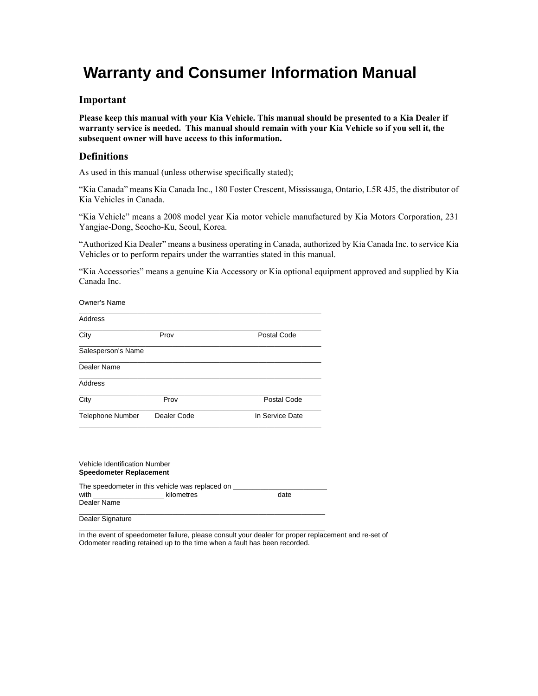# **Warranty and Consumer Information Manual**

#### **Important**

**Please keep this manual with your Kia Vehicle. This manual should be presented to a Kia Dealer if warranty service is needed. This manual should remain with your Kia Vehicle so if you sell it, the subsequent owner will have access to this information.** 

## **Definitions**

As used in this manual (unless otherwise specifically stated);

"Kia Canada" means Kia Canada Inc., 180 Foster Crescent, Mississauga, Ontario, L5R 4J5, the distributor of Kia Vehicles in Canada.

"Kia Vehicle" means a 2008 model year Kia motor vehicle manufactured by Kia Motors Corporation, 231 Yangjae-Dong, Seocho-Ku, Seoul, Korea.

"Authorized Kia Dealer" means a business operating in Canada, authorized by Kia Canada Inc. to service Kia Vehicles or to perform repairs under the warranties stated in this manual.

"Kia Accessories" means a genuine Kia Accessory or Kia optional equipment approved and supplied by Kia Canada Inc.

| Prov        | Postal Code     |
|-------------|-----------------|
|             |                 |
|             |                 |
|             |                 |
| Prov        | Postal Code     |
| Dealer Code | In Service Date |
|             |                 |

| Vehicle Identification Number<br><b>Speedometer Replacement</b> |                                                               |      |  |
|-----------------------------------------------------------------|---------------------------------------------------------------|------|--|
| Dealer Name                                                     | The speedometer in this vehicle was replaced on<br>kilometres | date |  |
| Dealer Signature                                                |                                                               |      |  |

\_\_\_\_\_\_\_\_\_\_\_\_\_\_\_\_\_\_\_\_\_\_\_\_\_\_\_\_\_\_\_\_\_\_\_\_\_\_\_\_\_\_\_\_\_\_\_\_\_\_\_\_\_\_\_\_\_\_\_\_\_\_\_

In the event of speedometer failure, please consult your dealer for proper replacement and re-set of Odometer reading retained up to the time when a fault has been recorded.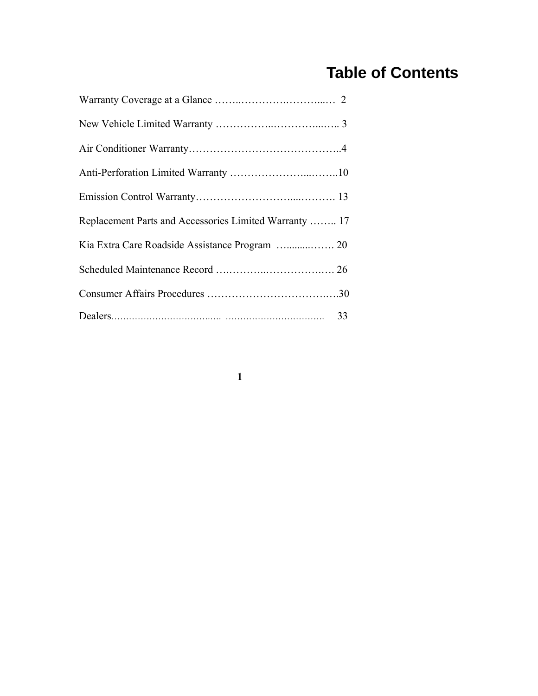# **Table of Contents**

| Replacement Parts and Accessories Limited Warranty  17 |  |
|--------------------------------------------------------|--|
|                                                        |  |
|                                                        |  |
|                                                        |  |
|                                                        |  |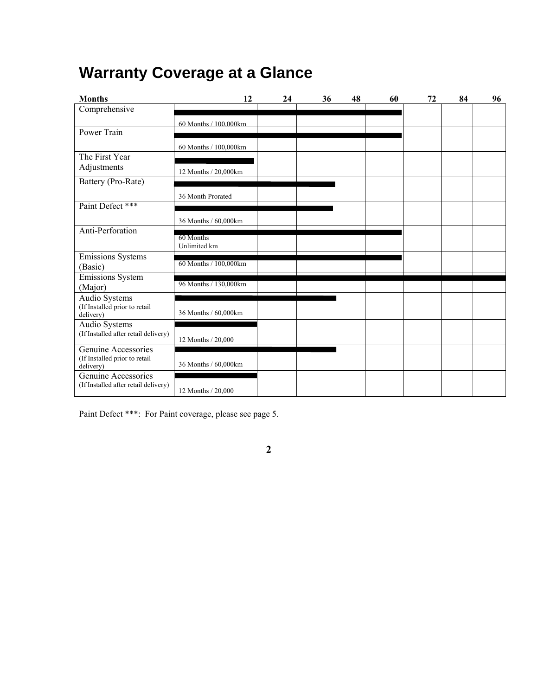# **Warranty Coverage at a Glance**

| <b>Months</b>                                               | 12                    | 24 | 36 | 48 | 60 | 72 | 84 | 96 |
|-------------------------------------------------------------|-----------------------|----|----|----|----|----|----|----|
| Comprehensive                                               |                       |    |    |    |    |    |    |    |
|                                                             | 60 Months / 100,000km |    |    |    |    |    |    |    |
| Power Train                                                 |                       |    |    |    |    |    |    |    |
|                                                             | 60 Months / 100,000km |    |    |    |    |    |    |    |
| The First Year                                              |                       |    |    |    |    |    |    |    |
| Adjustments                                                 | 12 Months / 20,000km  |    |    |    |    |    |    |    |
| Battery (Pro-Rate)                                          |                       |    |    |    |    |    |    |    |
|                                                             | 36 Month Prorated     |    |    |    |    |    |    |    |
| Paint Defect ***                                            |                       |    |    |    |    |    |    |    |
|                                                             | 36 Months / 60,000km  |    |    |    |    |    |    |    |
| Anti-Perforation                                            |                       |    |    |    |    |    |    |    |
|                                                             | 60 Months             |    |    |    |    |    |    |    |
|                                                             | Unlimited km          |    |    |    |    |    |    |    |
| Emissions Systems<br>(Basic)                                | 60 Months / 100,000km |    |    |    |    |    |    |    |
| Emissions System                                            |                       |    |    |    |    |    |    |    |
| (Major)                                                     | 96 Months / 130,000km |    |    |    |    |    |    |    |
| Audio Systems                                               |                       |    |    |    |    |    |    |    |
| (If Installed prior to retail<br>delivery)                  | 36 Months / 60,000km  |    |    |    |    |    |    |    |
| Audio Systems                                               |                       |    |    |    |    |    |    |    |
| (If Installed after retail delivery)                        | 12 Months / 20,000    |    |    |    |    |    |    |    |
| Genuine Accessories                                         |                       |    |    |    |    |    |    |    |
| (If Installed prior to retail                               |                       |    |    |    |    |    |    |    |
| delivery)                                                   | 36 Months / 60,000km  |    |    |    |    |    |    |    |
| Genuine Accessories<br>(If Installed after retail delivery) |                       |    |    |    |    |    |    |    |
|                                                             | 12 Months / 20,000    |    |    |    |    |    |    |    |

**2** 

Paint Defect \*\*\*: For Paint coverage, please see page 5.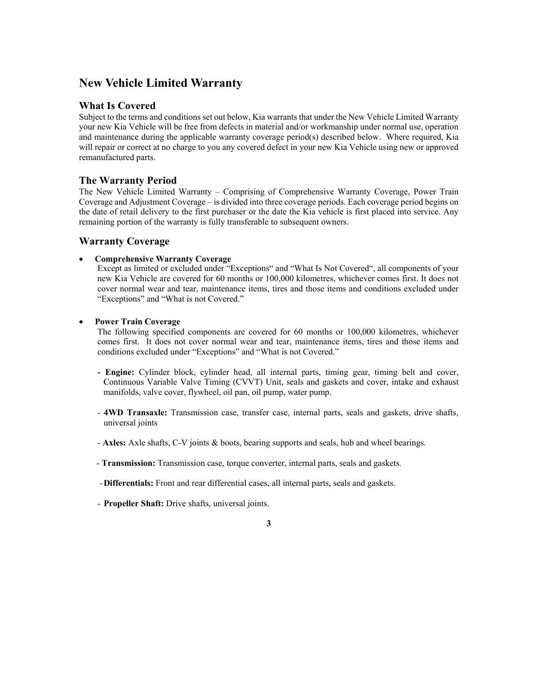## **New Vehicle Limited Warranty**

### **What Is Covered**

Subject to the terms and conditions set out below, Kia warrants that under the New Vehicle Limited Warranty your new Kia Vehicle will be free from defects in material and/or workmanship under normal use, operation and maintenance during the applicable warranty coverage period(s) described below. Where required, Kia will repair or correct at no charge to you any covered defect in your new Kia Vehicle using new or approved remanufactured parts.

## **The Warranty Period**

The New Vehicle Limited Warranty – Comprising of Comprehensive Warranty Coverage, Power Train Coverage and Adjustment Coverage – is divided into three coverage periods. Each coverage period begins on the date of retail delivery to the first purchaser or the date the Kia vehicle is first placed into service. Any remaining portion of the warranty is fully transferable to subsequent owners.

### **Warranty Coverage**

#### • **Comprehensive Warranty Coverage**

Except as limited or excluded under "Exceptions" and "What Is Not Covered", all components of your new Kia Vehicle are covered for 60 months or 100,000 kilometres, whichever comes first. It does not cover normal wear and tear, maintenance items, tires and those items and conditions excluded under "Exceptions" and "What is not Covered."

#### • **Power Train Coverage**

The following specified components are covered for 60 months or 100,000 kilometres, whichever comes first. It does not cover normal wear and tear, maintenance items, tires and those items and conditions excluded under "Exceptions" and "What is not Covered."

- **Engine:** Cylinder block, cylinder head, all internal parts, timing gear, timing belt and cover, Continuous Variable Valve Timing (CVVT) Unit, seals and gaskets and cover, intake and exhaust manifolds, valve cover, flywheel, oil pan, oil pump, water pump.
- **4WD Transaxle:** Transmission case, transfer case, internal parts, seals and gaskets, drive shafts, universal joints
- **Axles:** Axle shafts, C-V joints & boots, bearing supports and seals, hub and wheel bearings.
- **Transmission:** Transmission case, torque converter, internal parts, seals and gaskets.
- **Differentials:** Front and rear differential cases, all internal parts, seals and gaskets.
- **Propeller Shaft:** Drive shafts, universal joints.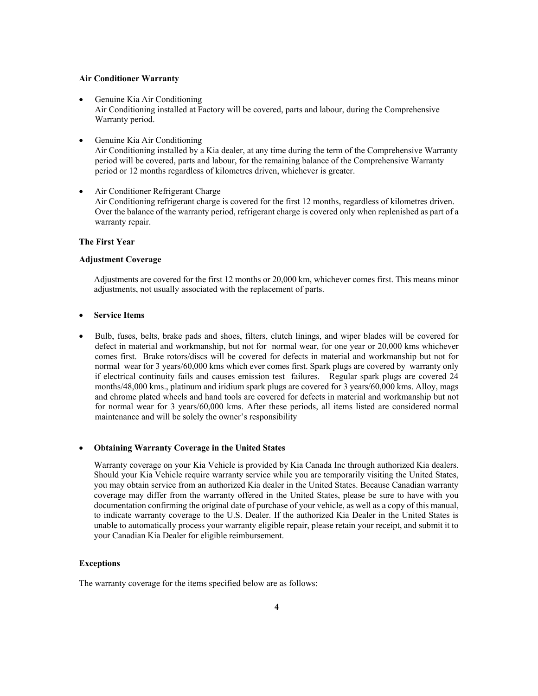#### **Air Conditioner Warranty**

- Genuine Kia Air Conditioning Air Conditioning installed at Factory will be covered, parts and labour, during the Comprehensive Warranty period.
- Genuine Kia Air Conditioning Air Conditioning installed by a Kia dealer, at any time during the term of the Comprehensive Warranty period will be covered, parts and labour, for the remaining balance of the Comprehensive Warranty period or 12 months regardless of kilometres driven, whichever is greater.
- Air Conditioner Refrigerant Charge Air Conditioning refrigerant charge is covered for the first 12 months, regardless of kilometres driven. Over the balance of the warranty period, refrigerant charge is covered only when replenished as part of a warranty repair.

#### **The First Year**

#### **Adjustment Coverage**

Adjustments are covered for the first 12 months or 20,000 km, whichever comes first. This means minor adjustments, not usually associated with the replacement of parts.

#### • **Service Items**

• Bulb, fuses, belts, brake pads and shoes, filters, clutch linings, and wiper blades will be covered for defect in material and workmanship, but not for normal wear, for one year or 20,000 kms whichever comes first. Brake rotors/discs will be covered for defects in material and workmanship but not for normal wear for 3 years/60,000 kms which ever comes first. Spark plugs are covered by warranty only if electrical continuity fails and causes emission test failures. Regular spark plugs are covered 24 months/48,000 kms., platinum and iridium spark plugs are covered for 3 years/60,000 kms. Alloy, mags and chrome plated wheels and hand tools are covered for defects in material and workmanship but not for normal wear for 3 years/60,000 kms. After these periods, all items listed are considered normal maintenance and will be solely the owner's responsibility

#### • **Obtaining Warranty Coverage in the United States**

Warranty coverage on your Kia Vehicle is provided by Kia Canada Inc through authorized Kia dealers. Should your Kia Vehicle require warranty service while you are temporarily visiting the United States, you may obtain service from an authorized Kia dealer in the United States. Because Canadian warranty coverage may differ from the warranty offered in the United States, please be sure to have with you documentation confirming the original date of purchase of your vehicle, as well as a copy of this manual, to indicate warranty coverage to the U.S. Dealer. If the authorized Kia Dealer in the United States is unable to automatically process your warranty eligible repair, please retain your receipt, and submit it to your Canadian Kia Dealer for eligible reimbursement.

#### **Exceptions**

The warranty coverage for the items specified below are as follows: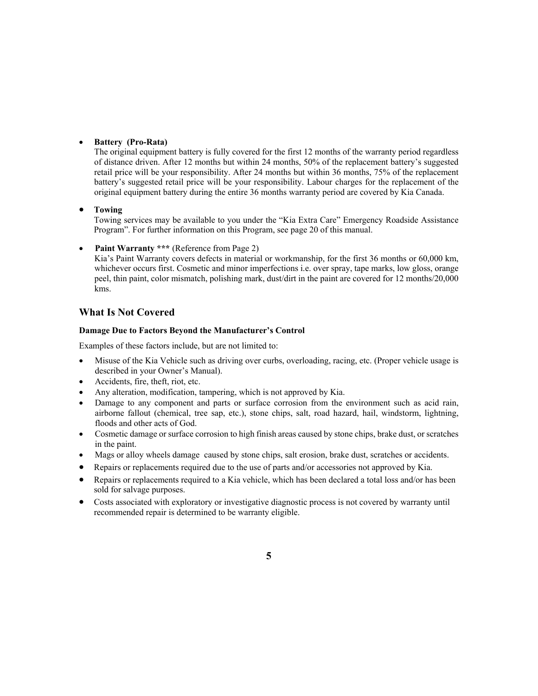#### • **Battery (Pro-Rata)**

The original equipment battery is fully covered for the first 12 months of the warranty period regardless of distance driven. After 12 months but within 24 months, 50% of the replacement battery's suggested retail price will be your responsibility. After 24 months but within 36 months, 75% of the replacement battery's suggested retail price will be your responsibility. Labour charges for the replacement of the original equipment battery during the entire 36 months warranty period are covered by Kia Canada.

#### • **Towing**

Towing services may be available to you under the "Kia Extra Care" Emergency Roadside Assistance Program". For further information on this Program, see page 20 of this manual.

**Paint Warranty \*\*\*** (Reference from Page 2)

 Kia's Paint Warranty covers defects in material or workmanship, for the first 36 months or 60,000 km, whichever occurs first. Cosmetic and minor imperfections i.e. over spray, tape marks, low gloss, orange peel, thin paint, color mismatch, polishing mark, dust/dirt in the paint are covered for 12 months/20,000 kms.

## **What Is Not Covered**

#### **Damage Due to Factors Beyond the Manufacturer's Control**

Examples of these factors include, but are not limited to:

- Misuse of the Kia Vehicle such as driving over curbs, overloading, racing, etc. (Proper vehicle usage is described in your Owner's Manual).
- Accidents, fire, theft, riot, etc.
- Any alteration, modification, tampering, which is not approved by Kia.
- Damage to any component and parts or surface corrosion from the environment such as acid rain, airborne fallout (chemical, tree sap, etc.), stone chips, salt, road hazard, hail, windstorm, lightning, floods and other acts of God.
- Cosmetic damage or surface corrosion to high finish areas caused by stone chips, brake dust, or scratches in the paint.
- Mags or alloy wheels damage caused by stone chips, salt erosion, brake dust, scratches or accidents.
- Repairs or replacements required due to the use of parts and/or accessories not approved by Kia.
- Repairs or replacements required to a Kia vehicle, which has been declared a total loss and/or has been sold for salvage purposes.
- Costs associated with exploratory or investigative diagnostic process is not covered by warranty until recommended repair is determined to be warranty eligible.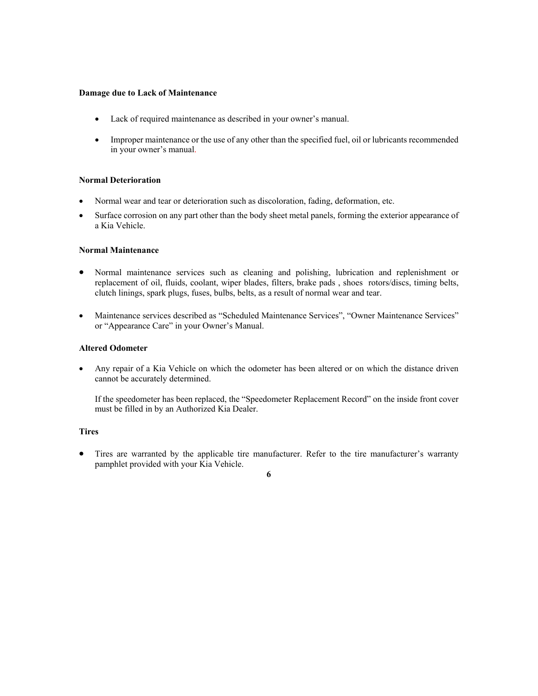#### **Damage due to Lack of Maintenance**

- Lack of required maintenance as described in your owner's manual.
- Improper maintenance or the use of any other than the specified fuel, oil or lubricants recommended in your owner's manual.

#### **Normal Deterioration**

- Normal wear and tear or deterioration such as discoloration, fading, deformation, etc.
- Surface corrosion on any part other than the body sheet metal panels, forming the exterior appearance of a Kia Vehicle.

#### **Normal Maintenance**

- Normal maintenance services such as cleaning and polishing, lubrication and replenishment or replacement of oil, fluids, coolant, wiper blades, filters, brake pads , shoes rotors/discs, timing belts, clutch linings, spark plugs, fuses, bulbs, belts, as a result of normal wear and tear.
- Maintenance services described as "Scheduled Maintenance Services", "Owner Maintenance Services" or "Appearance Care" in your Owner's Manual.

#### **Altered Odometer**

• Any repair of a Kia Vehicle on which the odometer has been altered or on which the distance driven cannot be accurately determined.

If the speedometer has been replaced, the "Speedometer Replacement Record" on the inside front cover must be filled in by an Authorized Kia Dealer.

#### **Tires**

• Tires are warranted by the applicable tire manufacturer. Refer to the tire manufacturer's warranty pamphlet provided with your Kia Vehicle.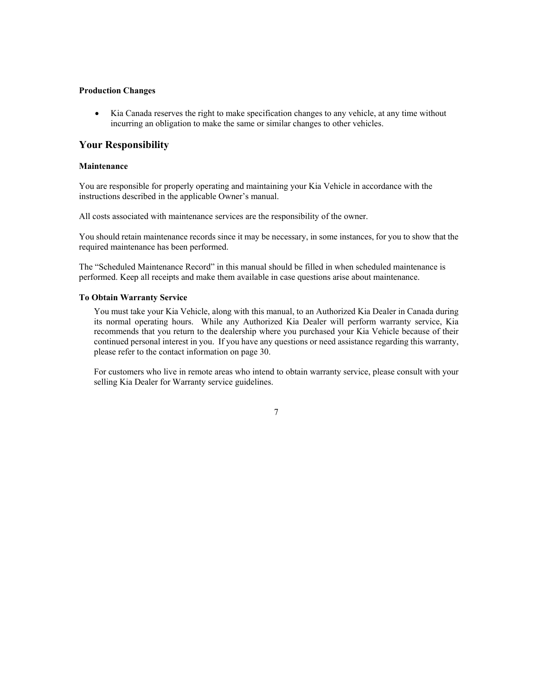#### **Production Changes**

• Kia Canada reserves the right to make specification changes to any vehicle, at any time without incurring an obligation to make the same or similar changes to other vehicles.

#### **Your Responsibility**

#### **Maintenance**

You are responsible for properly operating and maintaining your Kia Vehicle in accordance with the instructions described in the applicable Owner's manual.

All costs associated with maintenance services are the responsibility of the owner.

You should retain maintenance records since it may be necessary, in some instances, for you to show that the required maintenance has been performed.

The "Scheduled Maintenance Record" in this manual should be filled in when scheduled maintenance is performed. Keep all receipts and make them available in case questions arise about maintenance.

#### **To Obtain Warranty Service**

You must take your Kia Vehicle, along with this manual, to an Authorized Kia Dealer in Canada during its normal operating hours. While any Authorized Kia Dealer will perform warranty service, Kia recommends that you return to the dealership where you purchased your Kia Vehicle because of their continued personal interest in you. If you have any questions or need assistance regarding this warranty, please refer to the contact information on page 30.

For customers who live in remote areas who intend to obtain warranty service, please consult with your selling Kia Dealer for Warranty service guidelines.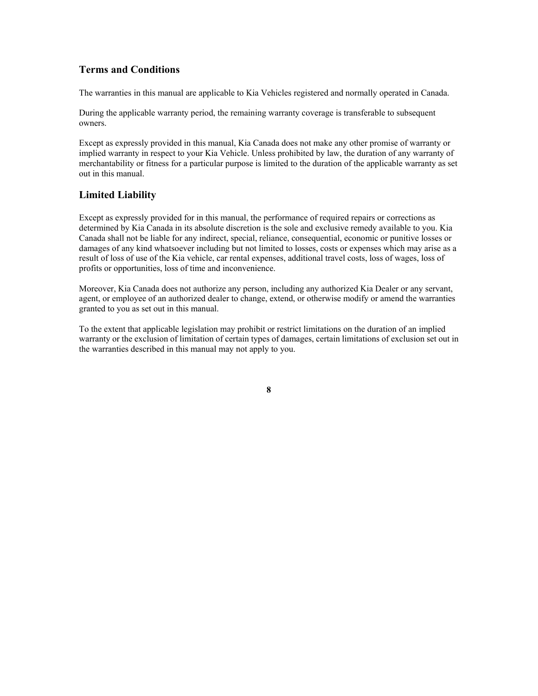## **Terms and Conditions**

The warranties in this manual are applicable to Kia Vehicles registered and normally operated in Canada.

During the applicable warranty period, the remaining warranty coverage is transferable to subsequent owners.

Except as expressly provided in this manual, Kia Canada does not make any other promise of warranty or implied warranty in respect to your Kia Vehicle. Unless prohibited by law, the duration of any warranty of merchantability or fitness for a particular purpose is limited to the duration of the applicable warranty as set out in this manual.

## **Limited Liability**

Except as expressly provided for in this manual, the performance of required repairs or corrections as determined by Kia Canada in its absolute discretion is the sole and exclusive remedy available to you. Kia Canada shall not be liable for any indirect, special, reliance, consequential, economic or punitive losses or damages of any kind whatsoever including but not limited to losses, costs or expenses which may arise as a result of loss of use of the Kia vehicle, car rental expenses, additional travel costs, loss of wages, loss of profits or opportunities, loss of time and inconvenience.

Moreover, Kia Canada does not authorize any person, including any authorized Kia Dealer or any servant, agent, or employee of an authorized dealer to change, extend, or otherwise modify or amend the warranties granted to you as set out in this manual.

To the extent that applicable legislation may prohibit or restrict limitations on the duration of an implied warranty or the exclusion of limitation of certain types of damages, certain limitations of exclusion set out in the warranties described in this manual may not apply to you.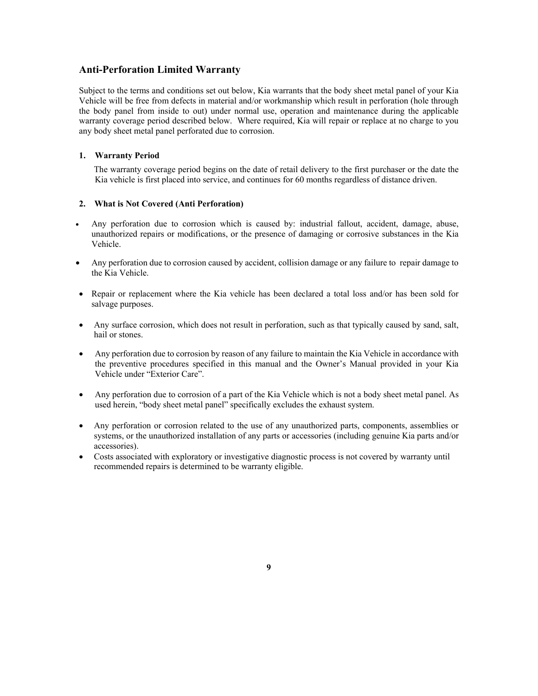### **Anti-Perforation Limited Warranty**

Subject to the terms and conditions set out below, Kia warrants that the body sheet metal panel of your Kia Vehicle will be free from defects in material and/or workmanship which result in perforation (hole through the body panel from inside to out) under normal use, operation and maintenance during the applicable warranty coverage period described below. Where required, Kia will repair or replace at no charge to you any body sheet metal panel perforated due to corrosion.

#### **1. Warranty Period**

The warranty coverage period begins on the date of retail delivery to the first purchaser or the date the Kia vehicle is first placed into service, and continues for 60 months regardless of distance driven.

#### **2. What is Not Covered (Anti Perforation)**

- Any perforation due to corrosion which is caused by: industrial fallout, accident, damage, abuse, unauthorized repairs or modifications, or the presence of damaging or corrosive substances in the Kia Vehicle.
- Any perforation due to corrosion caused by accident, collision damage or any failure to repair damage to the Kia Vehicle.
- Repair or replacement where the Kia vehicle has been declared a total loss and/or has been sold for salvage purposes.
- Any surface corrosion, which does not result in perforation, such as that typically caused by sand, salt, hail or stones.
- Any perforation due to corrosion by reason of any failure to maintain the Kia Vehicle in accordance with the preventive procedures specified in this manual and the Owner's Manual provided in your Kia Vehicle under "Exterior Care".
- Any perforation due to corrosion of a part of the Kia Vehicle which is not a body sheet metal panel. As used herein, "body sheet metal panel" specifically excludes the exhaust system.
- Any perforation or corrosion related to the use of any unauthorized parts, components, assemblies or systems, or the unauthorized installation of any parts or accessories (including genuine Kia parts and/or accessories).
- Costs associated with exploratory or investigative diagnostic process is not covered by warranty until recommended repairs is determined to be warranty eligible.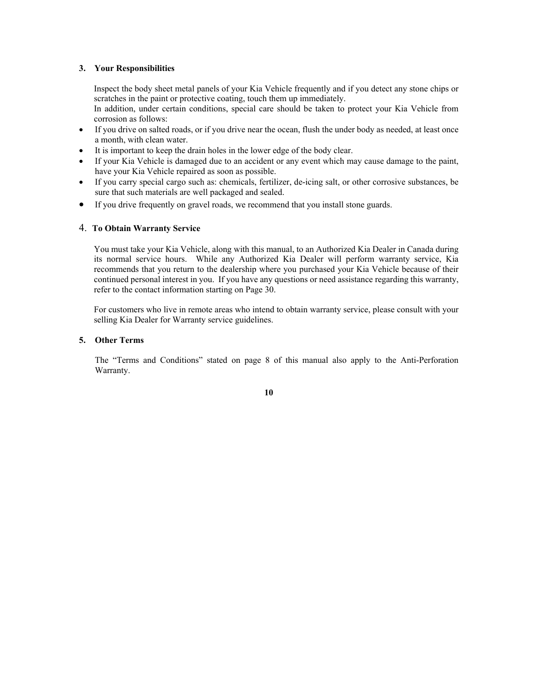#### **3. Your Responsibilities**

Inspect the body sheet metal panels of your Kia Vehicle frequently and if you detect any stone chips or scratches in the paint or protective coating, touch them up immediately.

In addition, under certain conditions, special care should be taken to protect your Kia Vehicle from corrosion as follows:

- If you drive on salted roads, or if you drive near the ocean, flush the under body as needed, at least once a month, with clean water.
- It is important to keep the drain holes in the lower edge of the body clear.
- If your Kia Vehicle is damaged due to an accident or any event which may cause damage to the paint, have your Kia Vehicle repaired as soon as possible.
- If you carry special cargo such as: chemicals, fertilizer, de-icing salt, or other corrosive substances, be sure that such materials are well packaged and sealed.
- If you drive frequently on gravel roads, we recommend that you install stone guards.

#### 4. **To Obtain Warranty Service**

You must take your Kia Vehicle, along with this manual, to an Authorized Kia Dealer in Canada during its normal service hours. While any Authorized Kia Dealer will perform warranty service, Kia recommends that you return to the dealership where you purchased your Kia Vehicle because of their continued personal interest in you. If you have any questions or need assistance regarding this warranty, refer to the contact information starting on Page 30.

For customers who live in remote areas who intend to obtain warranty service, please consult with your selling Kia Dealer for Warranty service guidelines.

#### **5. Other Terms**

The "Terms and Conditions" stated on page 8 of this manual also apply to the Anti-Perforation Warranty.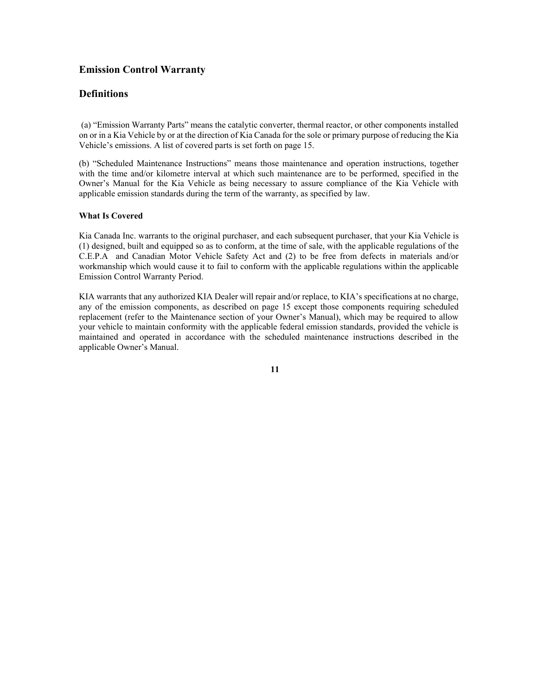## **Emission Control Warranty**

## **Definitions**

 (a) "Emission Warranty Parts" means the catalytic converter, thermal reactor, or other components installed on or in a Kia Vehicle by or at the direction of Kia Canada for the sole or primary purpose of reducing the Kia Vehicle's emissions. A list of covered parts is set forth on page 15.

(b) "Scheduled Maintenance Instructions" means those maintenance and operation instructions, together with the time and/or kilometre interval at which such maintenance are to be performed, specified in the Owner's Manual for the Kia Vehicle as being necessary to assure compliance of the Kia Vehicle with applicable emission standards during the term of the warranty, as specified by law.

#### **What Is Covered**

Kia Canada Inc. warrants to the original purchaser, and each subsequent purchaser, that your Kia Vehicle is (1) designed, built and equipped so as to conform, at the time of sale, with the applicable regulations of the C.E.P.A and Canadian Motor Vehicle Safety Act and (2) to be free from defects in materials and/or workmanship which would cause it to fail to conform with the applicable regulations within the applicable Emission Control Warranty Period.

KIA warrants that any authorized KIA Dealer will repair and/or replace, to KIA's specifications at no charge, any of the emission components, as described on page 15 except those components requiring scheduled replacement (refer to the Maintenance section of your Owner's Manual), which may be required to allow your vehicle to maintain conformity with the applicable federal emission standards, provided the vehicle is maintained and operated in accordance with the scheduled maintenance instructions described in the applicable Owner's Manual.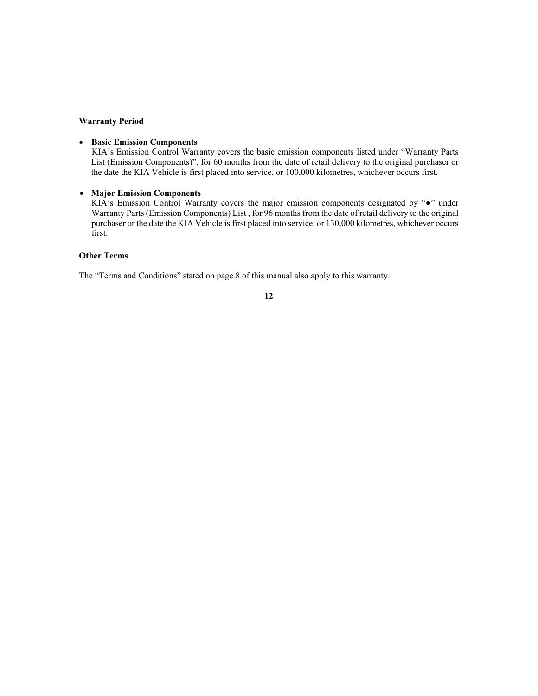#### **Warranty Period**

#### • **Basic Emission Components**

KIA's Emission Control Warranty covers the basic emission components listed under "Warranty Parts List (Emission Components)", for 60 months from the date of retail delivery to the original purchaser or the date the KIA Vehicle is first placed into service, or 100,000 kilometres, whichever occurs first.

### • **Major Emission Components**

KIA's Emission Control Warranty covers the major emission components designated by "●" under Warranty Parts (Emission Components) List , for 96 months from the date of retail delivery to the original purchaser or the date the KIA Vehicle is first placed into service, or 130,000 kilometres, whichever occurs first.

#### **Other Terms**

The "Terms and Conditions" stated on page 8 of this manual also apply to this warranty.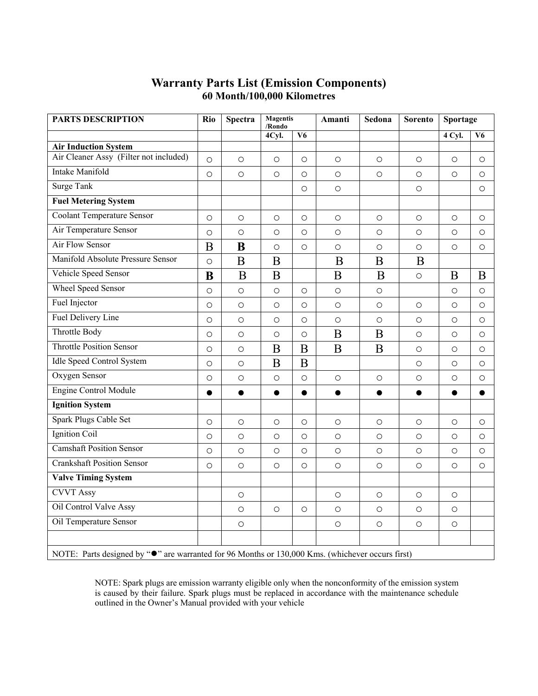## **Warranty Parts List (Emission Components) 60 Month/100,000 Kilometres**

| <b>PARTS DESCRIPTION</b>                                                                                   | Rio       | <b>Spectra</b> | <b>Magentis</b><br>/Rondo |                 | Amanti     | Sedona     | <b>Sorento</b> | Sportage   |           |
|------------------------------------------------------------------------------------------------------------|-----------|----------------|---------------------------|-----------------|------------|------------|----------------|------------|-----------|
|                                                                                                            |           |                | 4Cyl.                     | $V\overline{6}$ |            |            |                | $4$ Cyl.   | V6        |
| <b>Air Induction System</b>                                                                                |           |                |                           |                 |            |            |                |            |           |
| Air Cleaner Assy (Filter not included)                                                                     | $\circ$   | $\circ$        | $\bigcirc$                | $\circ$         | $\circ$    | $\circ$    | $\circ$        | $\circ$    | $\circ$   |
| <b>Intake Manifold</b>                                                                                     | O         | $\circ$        | $\circ$                   | $\bigcirc$      | $\circ$    | $\bigcirc$ | $\circ$        | $\circ$    | $\circ$   |
| <b>Surge Tank</b>                                                                                          |           |                |                           | $\circ$         | $\circ$    |            | $\circ$        |            | $\circ$   |
| <b>Fuel Metering System</b>                                                                                |           |                |                           |                 |            |            |                |            |           |
| <b>Coolant Temperature Sensor</b>                                                                          | $\circ$   | $\circ$        | $\circ$                   | $\circ$         | $\circ$    | $\circ$    | $\circ$        | $\circ$    | $\circ$   |
| Air Temperature Sensor                                                                                     | $\circ$   | $\circ$        | $\circ$                   | $\circ$         | $\circ$    | $\circ$    | $\circ$        | $\circ$    | $\circ$   |
| <b>Air Flow Sensor</b>                                                                                     | B         | B              | $\circ$                   | $\bigcirc$      | $\circ$    | $\circ$    | $\circ$        | $\circ$    | $\circ$   |
| Manifold Absolute Pressure Sensor                                                                          | $\circ$   | B              | B                         |                 | B          | B          | B              |            |           |
| Vehicle Speed Sensor                                                                                       | B         | B              | B                         |                 | B          | B          | $\bigcirc$     | B          | B         |
| <b>Wheel Speed Sensor</b>                                                                                  | $\circ$   | $\circ$        | $\circ$                   | $\circ$         | $\circ$    | $\circ$    |                | $\circ$    | $\circ$   |
| Fuel Injector                                                                                              | $\circ$   | $\bigcirc$     | $\bigcirc$                | $\circ$         | $\bigcirc$ | $\bigcirc$ | $\circ$        | $\bigcirc$ | $\circ$   |
| Fuel Delivery Line                                                                                         | $\circ$   | $\circ$        | $\circ$                   | $\circ$         | $\circ$    | $\circ$    | $\circ$        | $\circ$    | $\circ$   |
| Throttle Body                                                                                              | $\circ$   | $\circ$        | $\circ$                   | $\circ$         | B          | B          | $\circ$        | $\circ$    | $\circ$   |
| <b>Throttle Position Sensor</b>                                                                            | $\circ$   | $\circ$        | B                         | B               | $\bf{B}$   | $\bf{B}$   | $\circ$        | $\circ$    | $\circ$   |
| <b>Idle Speed Control System</b>                                                                           | $\circ$   | $\circ$        | B                         | B               |            |            | $\circ$        | $\bigcirc$ | $\circ$   |
| Oxygen Sensor                                                                                              | $\circ$   | $\bigcirc$     | $\bigcirc$                | $\bigcirc$      | $\bigcirc$ | $\bigcirc$ | $\bigcirc$     | $\bigcirc$ | $\circ$   |
| <b>Engine Control Module</b>                                                                               | $\bullet$ | $\bullet$      | $\bullet$                 | $\bullet$       | $\bullet$  | $\bullet$  | $\bullet$      | $\bullet$  | $\bullet$ |
| <b>Ignition System</b>                                                                                     |           |                |                           |                 |            |            |                |            |           |
| <b>Spark Plugs Cable Set</b>                                                                               | $\circ$   | $\circ$        | $\circ$                   | $\circ$         | $\circ$    | $\circ$    | $\circ$        | $\circ$    | $\circ$   |
| <b>Ignition Coil</b>                                                                                       | $\circ$   | $\circ$        | $\circ$                   | $\circ$         | $\circ$    | $\bigcirc$ | $\circ$        | $\circ$    | $\circ$   |
| <b>Camshaft Position Sensor</b>                                                                            | $\circ$   | $\circ$        | $\circ$                   | $\circ$         | $\circ$    | $\circ$    | $\circ$        | $\circ$    | $\circ$   |
| <b>Crankshaft Position Sensor</b>                                                                          | $\circ$   | $\circ$        | $\bigcirc$                | $\circ$         | $\bigcirc$ | $\bigcirc$ | $\bigcirc$     | $\circ$    | $\circ$   |
| <b>Valve Timing System</b>                                                                                 |           |                |                           |                 |            |            |                |            |           |
| <b>CVVT</b> Assy                                                                                           |           | $\circ$        |                           |                 | $\circ$    | $\bigcirc$ | $\circ$        | $\circ$    |           |
| Oil Control Valve Assy                                                                                     |           | $\bigcirc$     | $\circ$                   | $\circ$         | $\bigcirc$ | $\circ$    | $\circ$        | $\circ$    |           |
| Oil Temperature Sensor                                                                                     |           | $\circ$        |                           |                 | $\circ$    | $\circ$    | $\circ$        | $\bigcirc$ |           |
|                                                                                                            |           |                |                           |                 |            |            |                |            |           |
| NOTE: Parts designed by " $\bullet$ " are warranted for 96 Months or 130,000 Kms. (whichever occurs first) |           |                |                           |                 |            |            |                |            |           |

NOTE: Spark plugs are emission warranty eligible only when the nonconformity of the emission system is caused by their failure. Spark plugs must be replaced in accordance with the maintenance schedule outlined in the Owner's Manual provided with your vehicle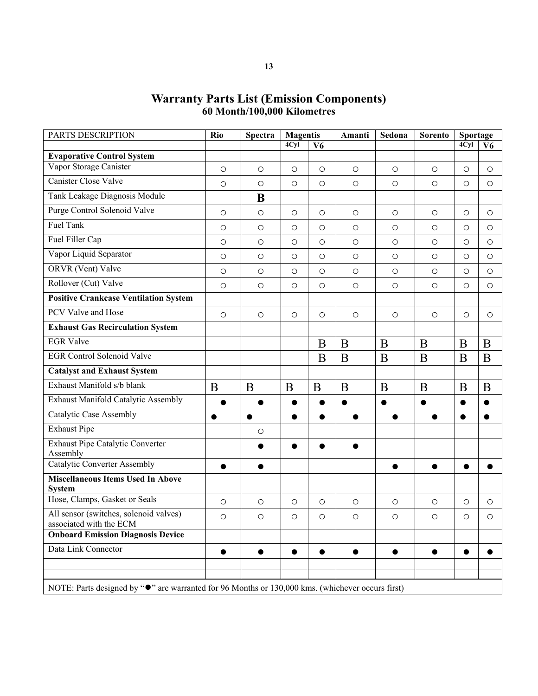## **Warranty Parts List (Emission Components) 60 Month/100,000 Kilometres**

| $\circ$<br>$\circ$<br>$\bigcirc$<br>$\circ$<br>$\circ$<br>$\circ$<br>$\circ$<br>$\circ$<br>$\bigcirc$<br>$\circ$ | $\bigcirc$<br>$\bigcirc$<br>$\bigcirc$<br>$\circ$ | $\circ$<br>$\bigcirc$<br>$\circ$                                                                           | 4Cyl<br>$\circ$<br>$\circ$ | V6<br>$\circ$<br>$\circ$ |
|------------------------------------------------------------------------------------------------------------------|---------------------------------------------------|------------------------------------------------------------------------------------------------------------|----------------------------|--------------------------|
|                                                                                                                  |                                                   |                                                                                                            |                            |                          |
|                                                                                                                  |                                                   |                                                                                                            |                            |                          |
|                                                                                                                  |                                                   |                                                                                                            |                            |                          |
|                                                                                                                  |                                                   |                                                                                                            |                            |                          |
|                                                                                                                  |                                                   |                                                                                                            |                            |                          |
|                                                                                                                  |                                                   |                                                                                                            | $\circ$                    | $\circ$                  |
|                                                                                                                  |                                                   | $\circ$                                                                                                    | $\circ$                    | $\circ$                  |
|                                                                                                                  | $\bigcirc$                                        | $\bigcirc$                                                                                                 | $\circ$                    | $\circ$                  |
| $\circ$<br>$\circ$                                                                                               | $\bigcirc$                                        | $\circ$                                                                                                    | $\circ$                    | $\circ$                  |
| $\circ$<br>$\circ$                                                                                               | $\bigcirc$                                        | $\circ$                                                                                                    | $\circ$                    | $\circ$                  |
| $\circ$<br>$\bigcirc$                                                                                            | $\bigcirc$                                        | $\bigcirc$                                                                                                 | $\bigcirc$                 | $\circ$                  |
|                                                                                                                  |                                                   |                                                                                                            |                            |                          |
| $\bigcirc$<br>$\circ$                                                                                            | $\bigcirc$                                        | $\circ$                                                                                                    | $\circ$                    | $\circ$                  |
|                                                                                                                  |                                                   |                                                                                                            |                            |                          |
| B<br>B                                                                                                           | B                                                 | B                                                                                                          | B                          | B                        |
| B<br>B                                                                                                           | B                                                 | B                                                                                                          | B                          | B                        |
|                                                                                                                  |                                                   |                                                                                                            |                            |                          |
| B                                                                                                                | B                                                 | B                                                                                                          | B                          | B                        |
| $\bullet$                                                                                                        | $\bullet$                                         | $\bullet$                                                                                                  | $\bullet$                  | $\bullet$                |
| $\bullet$<br>$\bullet$                                                                                           | $\bullet$                                         | $\bullet$                                                                                                  | $\bullet$                  | $\bullet$                |
|                                                                                                                  |                                                   |                                                                                                            |                            |                          |
|                                                                                                                  |                                                   |                                                                                                            |                            |                          |
|                                                                                                                  |                                                   |                                                                                                            |                            |                          |
|                                                                                                                  |                                                   |                                                                                                            |                            |                          |
| $\bigcirc$<br>$\circ$                                                                                            | $\bigcirc$                                        | $\bigcirc$                                                                                                 | $\bigcirc$                 | $\circ$                  |
| $\circ$<br>$\circ$                                                                                               | $\bigcirc$                                        | $\bigcirc$                                                                                                 | $\circ$                    | $\circ$                  |
|                                                                                                                  |                                                   |                                                                                                            |                            |                          |
| $\bullet$                                                                                                        | $\bullet$                                         | $\bullet$                                                                                                  | $\bullet$                  |                          |
|                                                                                                                  |                                                   |                                                                                                            |                            |                          |
|                                                                                                                  |                                                   |                                                                                                            |                            |                          |
|                                                                                                                  |                                                   | NOTE: Parts designed by " $\bullet$ " are warranted for 96 Months or 130,000 kms. (whichever occurs first) |                            |                          |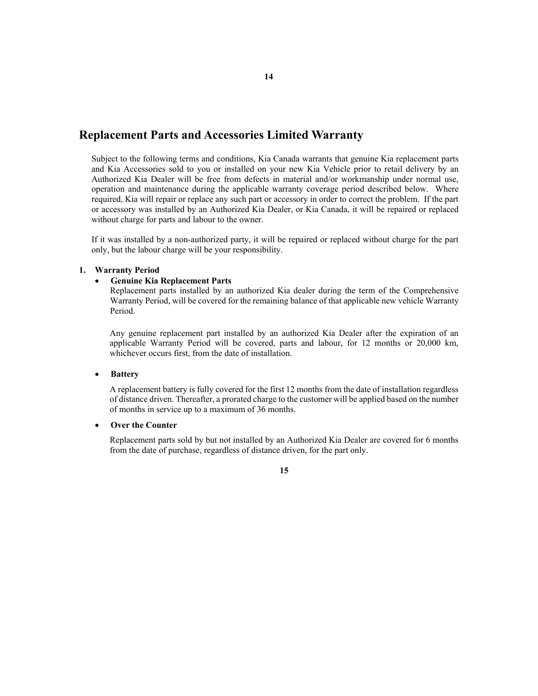## **Replacement Parts and Accessories Limited Warranty**

Subject to the following terms and conditions, Kia Canada warrants that genuine Kia replacement parts and Kia Accessories sold to you or installed on your new Kia Vehicle prior to retail delivery by an Authorized Kia Dealer will be free from defects in material and/or workmanship under normal use, operation and maintenance during the applicable warranty coverage period described below. Where required, Kia will repair or replace any such part or accessory in order to correct the problem. If the part or accessory was installed by an Authorized Kia Dealer, or Kia Canada, it will be repaired or replaced without charge for parts and labour to the owner.

If it was installed by a non-authorized party, it will be repaired or replaced without charge for the part only, but the labour charge will be your responsibility.

#### **1. Warranty Period**

#### • **Genuine Kia Replacement Parts**

Replacement parts installed by an authorized Kia dealer during the term of the Comprehensive Warranty Period, will be covered for the remaining balance of that applicable new vehicle Warranty Period.

Any genuine replacement part installed by an authorized Kia Dealer after the expiration of an applicable Warranty Period will be covered, parts and labour, for 12 months or 20,000 km, whichever occurs first, from the date of installation.

#### • **Battery**

A replacement battery is fully covered for the first 12 months from the date of installation regardless of distance driven. Thereafter, a prorated charge to the customer will be applied based on the number of months in service up to a maximum of 36 months.

#### • **Over the Counter**

Replacement parts sold by but not installed by an Authorized Kia Dealer are covered for 6 months from the date of purchase, regardless of distance driven, for the part only.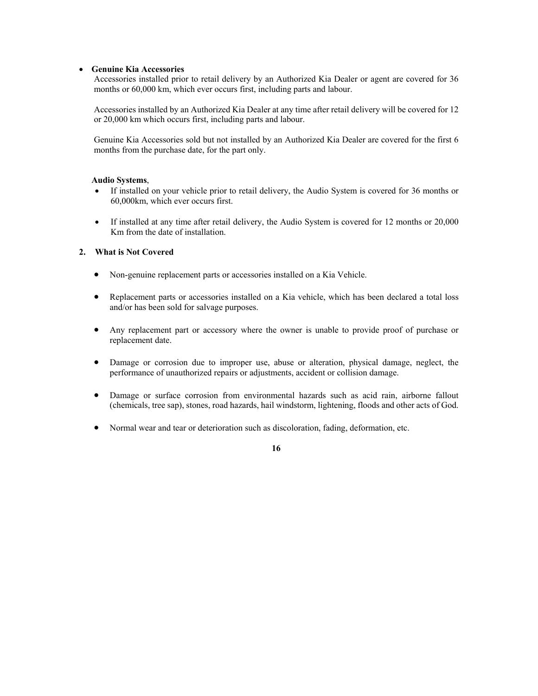#### • **Genuine Kia Accessories**

Accessories installed prior to retail delivery by an Authorized Kia Dealer or agent are covered for 36 months or 60,000 km, which ever occurs first, including parts and labour.

Accessories installed by an Authorized Kia Dealer at any time after retail delivery will be covered for 12 or 20,000 km which occurs first, including parts and labour.

Genuine Kia Accessories sold but not installed by an Authorized Kia Dealer are covered for the first 6 months from the purchase date, for the part only.

#### **Audio Systems**,

- If installed on your vehicle prior to retail delivery, the Audio System is covered for 36 months or 60,000km, which ever occurs first.
- If installed at any time after retail delivery, the Audio System is covered for 12 months or 20,000 Km from the date of installation.

## **2. What is Not Covered**

- Non-genuine replacement parts or accessories installed on a Kia Vehicle.
- Replacement parts or accessories installed on a Kia vehicle, which has been declared a total loss and/or has been sold for salvage purposes.
- Any replacement part or accessory where the owner is unable to provide proof of purchase or replacement date.
- Damage or corrosion due to improper use, abuse or alteration, physical damage, neglect, the performance of unauthorized repairs or adjustments, accident or collision damage.
- Damage or surface corrosion from environmental hazards such as acid rain, airborne fallout (chemicals, tree sap), stones, road hazards, hail windstorm, lightening, floods and other acts of God.
- Normal wear and tear or deterioration such as discoloration, fading, deformation, etc.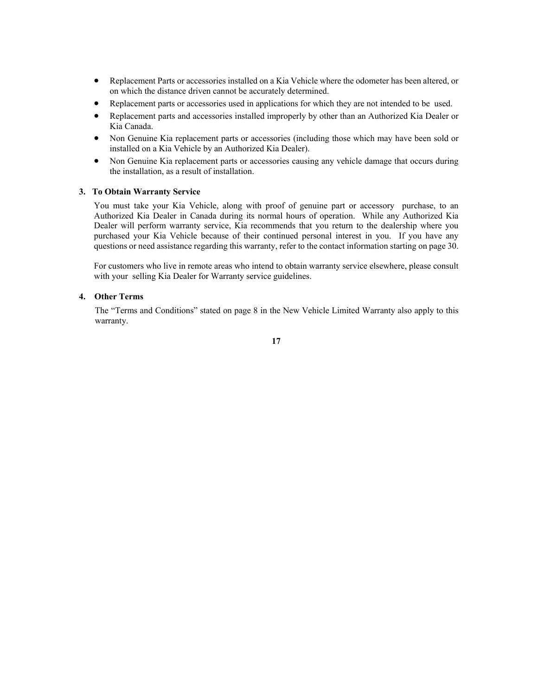- Replacement Parts or accessories installed on a Kia Vehicle where the odometer has been altered, or on which the distance driven cannot be accurately determined.
- Replacement parts or accessories used in applications for which they are not intended to be used.
- Replacement parts and accessories installed improperly by other than an Authorized Kia Dealer or Kia Canada.
- Non Genuine Kia replacement parts or accessories (including those which may have been sold or installed on a Kia Vehicle by an Authorized Kia Dealer).
- Non Genuine Kia replacement parts or accessories causing any vehicle damage that occurs during the installation, as a result of installation.

### **3. To Obtain Warranty Service**

You must take your Kia Vehicle, along with proof of genuine part or accessory purchase, to an Authorized Kia Dealer in Canada during its normal hours of operation. While any Authorized Kia Dealer will perform warranty service, Kia recommends that you return to the dealership where you purchased your Kia Vehicle because of their continued personal interest in you. If you have any questions or need assistance regarding this warranty, refer to the contact information starting on page 30.

For customers who live in remote areas who intend to obtain warranty service elsewhere, please consult with your selling Kia Dealer for Warranty service guidelines.

#### **4. Other Terms**

The "Terms and Conditions" stated on page 8 in the New Vehicle Limited Warranty also apply to this warranty.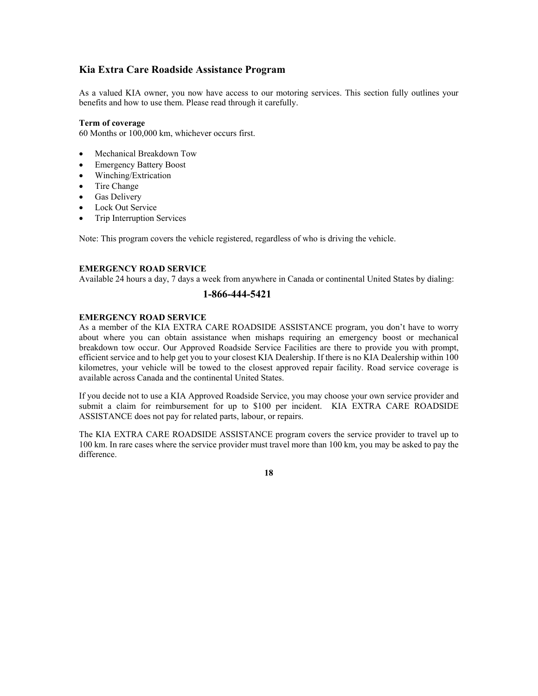## **Kia Extra Care Roadside Assistance Program**

As a valued KIA owner, you now have access to our motoring services. This section fully outlines your benefits and how to use them. Please read through it carefully.

#### **Term of coverage**

60 Months or 100,000 km, whichever occurs first.

- Mechanical Breakdown Tow
- Emergency Battery Boost
- Winching/Extrication
- Tire Change
- Gas Delivery
- Lock Out Service
- Trip Interruption Services

Note: This program covers the vehicle registered, regardless of who is driving the vehicle.

#### **EMERGENCY ROAD SERVICE**

Available 24 hours a day, 7 days a week from anywhere in Canada or continental United States by dialing:

## **1-866-444-5421**

#### **EMERGENCY ROAD SERVICE**

As a member of the KIA EXTRA CARE ROADSIDE ASSISTANCE program, you don't have to worry about where you can obtain assistance when mishaps requiring an emergency boost or mechanical breakdown tow occur. Our Approved Roadside Service Facilities are there to provide you with prompt, efficient service and to help get you to your closest KIA Dealership. If there is no KIA Dealership within 100 kilometres, your vehicle will be towed to the closest approved repair facility. Road service coverage is available across Canada and the continental United States.

If you decide not to use a KIA Approved Roadside Service, you may choose your own service provider and submit a claim for reimbursement for up to \$100 per incident. KIA EXTRA CARE ROADSIDE ASSISTANCE does not pay for related parts, labour, or repairs.

The KIA EXTRA CARE ROADSIDE ASSISTANCE program covers the service provider to travel up to 100 km. In rare cases where the service provider must travel more than 100 km, you may be asked to pay the difference.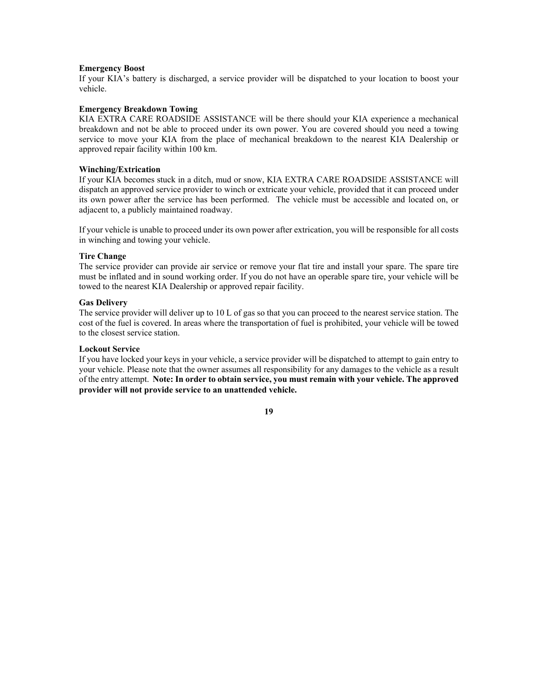#### **Emergency Boost**

If your KIA's battery is discharged, a service provider will be dispatched to your location to boost your vehicle.

#### **Emergency Breakdown Towing**

KIA EXTRA CARE ROADSIDE ASSISTANCE will be there should your KIA experience a mechanical breakdown and not be able to proceed under its own power. You are covered should you need a towing service to move your KIA from the place of mechanical breakdown to the nearest KIA Dealership or approved repair facility within 100 km.

#### **Winching/Extrication**

If your KIA becomes stuck in a ditch, mud or snow, KIA EXTRA CARE ROADSIDE ASSISTANCE will dispatch an approved service provider to winch or extricate your vehicle, provided that it can proceed under its own power after the service has been performed. The vehicle must be accessible and located on, or adjacent to, a publicly maintained roadway.

If your vehicle is unable to proceed under its own power after extrication, you will be responsible for all costs in winching and towing your vehicle.

#### **Tire Change**

The service provider can provide air service or remove your flat tire and install your spare. The spare tire must be inflated and in sound working order. If you do not have an operable spare tire, your vehicle will be towed to the nearest KIA Dealership or approved repair facility.

#### **Gas Delivery**

The service provider will deliver up to 10 L of gas so that you can proceed to the nearest service station. The cost of the fuel is covered. In areas where the transportation of fuel is prohibited, your vehicle will be towed to the closest service station.

#### **Lockout Service**

If you have locked your keys in your vehicle, a service provider will be dispatched to attempt to gain entry to your vehicle. Please note that the owner assumes all responsibility for any damages to the vehicle as a result of the entry attempt. **Note: In order to obtain service, you must remain with your vehicle. The approved provider will not provide service to an unattended vehicle.**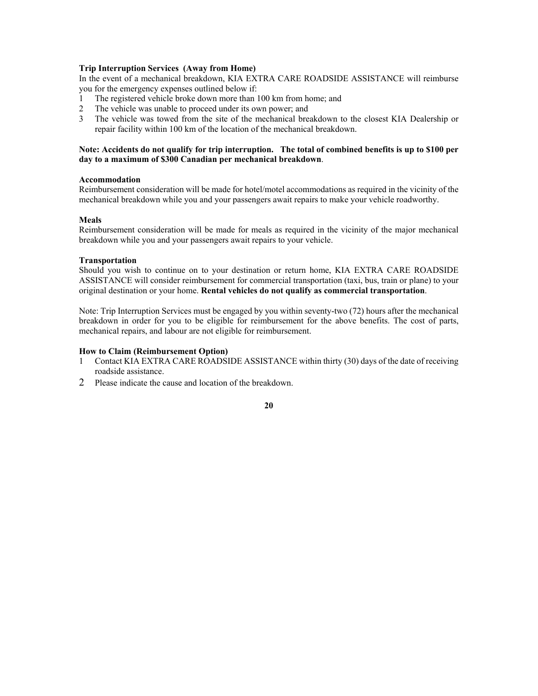#### **Trip Interruption Services (Away from Home)**

In the event of a mechanical breakdown, KIA EXTRA CARE ROADSIDE ASSISTANCE will reimburse you for the emergency expenses outlined below if:

- 1 The registered vehicle broke down more than 100 km from home; and
- 2 The vehicle was unable to proceed under its own power; and
- 3 The vehicle was towed from the site of the mechanical breakdown to the closest KIA Dealership or repair facility within 100 km of the location of the mechanical breakdown.

#### **Note: Accidents do not qualify for trip interruption. The total of combined benefits is up to \$100 per day to a maximum of \$300 Canadian per mechanical breakdown**.

#### **Accommodation**

Reimbursement consideration will be made for hotel/motel accommodations as required in the vicinity of the mechanical breakdown while you and your passengers await repairs to make your vehicle roadworthy.

#### **Meals**

Reimbursement consideration will be made for meals as required in the vicinity of the major mechanical breakdown while you and your passengers await repairs to your vehicle.

#### **Transportation**

Should you wish to continue on to your destination or return home, KIA EXTRA CARE ROADSIDE ASSISTANCE will consider reimbursement for commercial transportation (taxi, bus, train or plane) to your original destination or your home. **Rental vehicles do not qualify as commercial transportation**.

Note: Trip Interruption Services must be engaged by you within seventy-two (72) hours after the mechanical breakdown in order for you to be eligible for reimbursement for the above benefits. The cost of parts, mechanical repairs, and labour are not eligible for reimbursement.

#### **How to Claim (Reimbursement Option)**

- 1 Contact KIA EXTRA CARE ROADSIDE ASSISTANCE within thirty (30) days of the date of receiving roadside assistance.
- 2 Please indicate the cause and location of the breakdown.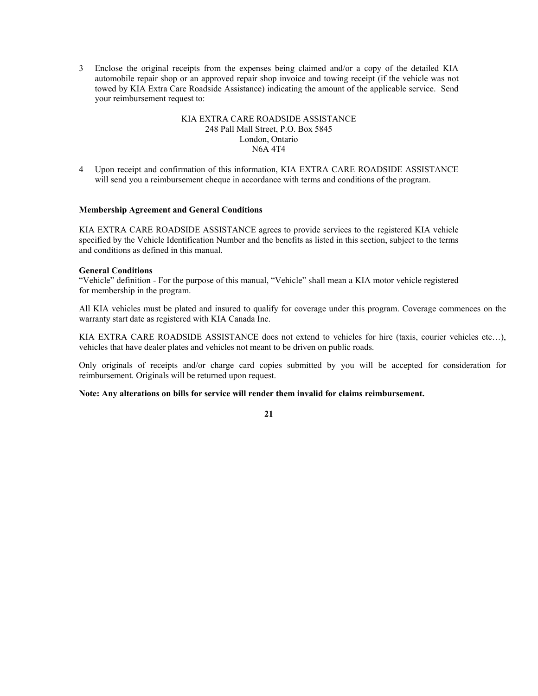3 Enclose the original receipts from the expenses being claimed and/or a copy of the detailed KIA automobile repair shop or an approved repair shop invoice and towing receipt (if the vehicle was not towed by KIA Extra Care Roadside Assistance) indicating the amount of the applicable service. Send your reimbursement request to:

#### KIA EXTRA CARE ROADSIDE ASSISTANCE 248 Pall Mall Street, P.O. Box 5845 London, Ontario N6A 4T4

4 Upon receipt and confirmation of this information, KIA EXTRA CARE ROADSIDE ASSISTANCE will send you a reimbursement cheque in accordance with terms and conditions of the program.

#### **Membership Agreement and General Conditions**

KIA EXTRA CARE ROADSIDE ASSISTANCE agrees to provide services to the registered KIA vehicle specified by the Vehicle Identification Number and the benefits as listed in this section, subject to the terms and conditions as defined in this manual.

#### **General Conditions**

"Vehicle" definition - For the purpose of this manual, "Vehicle" shall mean a KIA motor vehicle registered for membership in the program.

All KIA vehicles must be plated and insured to qualify for coverage under this program. Coverage commences on the warranty start date as registered with KIA Canada Inc.

KIA EXTRA CARE ROADSIDE ASSISTANCE does not extend to vehicles for hire (taxis, courier vehicles etc…), vehicles that have dealer plates and vehicles not meant to be driven on public roads.

Only originals of receipts and/or charge card copies submitted by you will be accepted for consideration for reimbursement. Originals will be returned upon request.

#### **Note: Any alterations on bills for service will render them invalid for claims reimbursement.**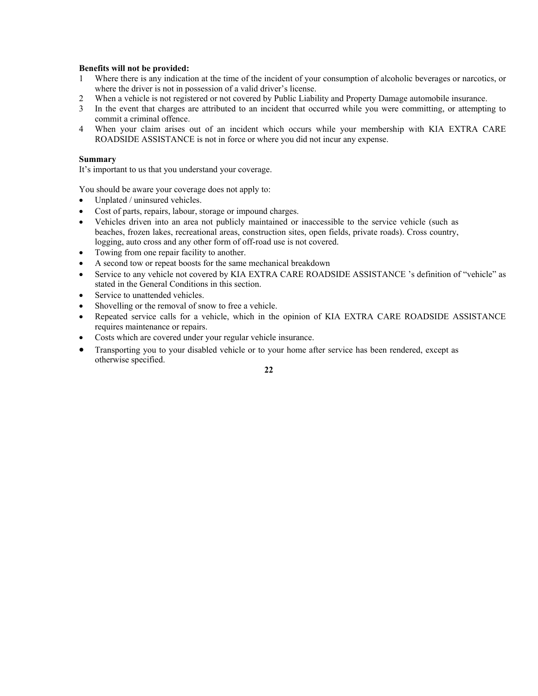#### **Benefits will not be provided:**

- 1 Where there is any indication at the time of the incident of your consumption of alcoholic beverages or narcotics, or where the driver is not in possession of a valid driver's license.
- 2 When a vehicle is not registered or not covered by Public Liability and Property Damage automobile insurance.
- 3 In the event that charges are attributed to an incident that occurred while you were committing, or attempting to commit a criminal offence.
- 4 When your claim arises out of an incident which occurs while your membership with KIA EXTRA CARE ROADSIDE ASSISTANCE is not in force or where you did not incur any expense.

#### **Summary**

It's important to us that you understand your coverage.

You should be aware your coverage does not apply to:

- Unplated / uninsured vehicles.
- Cost of parts, repairs, labour, storage or impound charges.
- Vehicles driven into an area not publicly maintained or inaccessible to the service vehicle (such as beaches, frozen lakes, recreational areas, construction sites, open fields, private roads). Cross country, logging, auto cross and any other form of off-road use is not covered.
- Towing from one repair facility to another.
- A second tow or repeat boosts for the same mechanical breakdown
- Service to any vehicle not covered by KIA EXTRA CARE ROADSIDE ASSISTANCE 's definition of "vehicle" as stated in the General Conditions in this section.
- Service to unattended vehicles.
- Shovelling or the removal of snow to free a vehicle.
- Repeated service calls for a vehicle, which in the opinion of KIA EXTRA CARE ROADSIDE ASSISTANCE requires maintenance or repairs.
- Costs which are covered under your regular vehicle insurance.
- Transporting you to your disabled vehicle or to your home after service has been rendered, except as otherwise specified.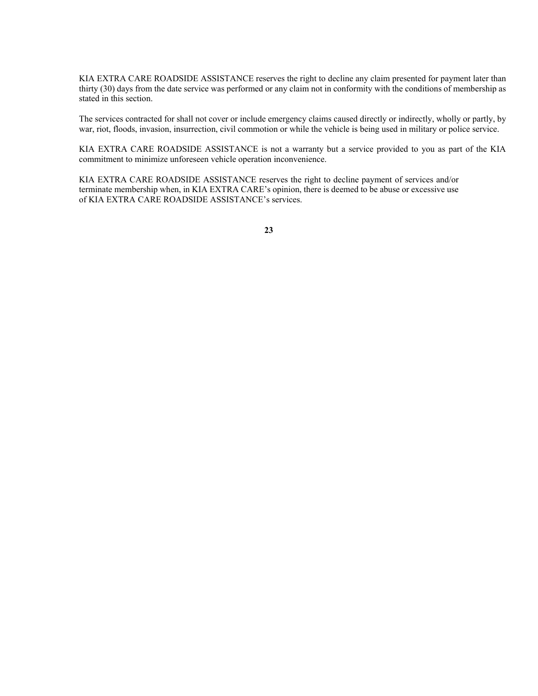KIA EXTRA CARE ROADSIDE ASSISTANCE reserves the right to decline any claim presented for payment later than thirty (30) days from the date service was performed or any claim not in conformity with the conditions of membership as stated in this section.

The services contracted for shall not cover or include emergency claims caused directly or indirectly, wholly or partly, by war, riot, floods, invasion, insurrection, civil commotion or while the vehicle is being used in military or police service.

KIA EXTRA CARE ROADSIDE ASSISTANCE is not a warranty but a service provided to you as part of the KIA commitment to minimize unforeseen vehicle operation inconvenience.

KIA EXTRA CARE ROADSIDE ASSISTANCE reserves the right to decline payment of services and/or terminate membership when, in KIA EXTRA CARE's opinion, there is deemed to be abuse or excessive use of KIA EXTRA CARE ROADSIDE ASSISTANCE's services.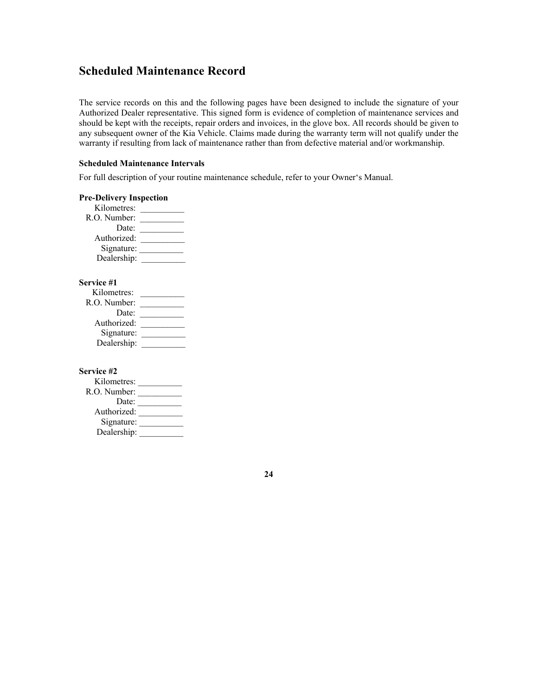## **Scheduled Maintenance Record**

The service records on this and the following pages have been designed to include the signature of your Authorized Dealer representative. This signed form is evidence of completion of maintenance services and should be kept with the receipts, repair orders and invoices, in the glove box. All records should be given to any subsequent owner of the Kia Vehicle. Claims made during the warranty term will not qualify under the warranty if resulting from lack of maintenance rather than from defective material and/or workmanship.

#### **Scheduled Maintenance Intervals**

For full description of your routine maintenance schedule, refer to your Owner's Manual.

| <b>Pre-Delivery Inspection</b> |
|--------------------------------|
| Kilometres:                    |
| R.O. Number:                   |
| Date:                          |
| Authorized:                    |
| Signature:                     |
| Dealership:                    |
|                                |
| Service #1                     |

| 90 VILC #1     |  |
|----------------|--|
| Kilometres:    |  |
| $R.O.$ Number: |  |
| Date:          |  |
| Authorized:    |  |
| Signature:     |  |
| Dealership:    |  |

**Service #2** 

| Kilometres:  |  |
|--------------|--|
| R.O. Number: |  |
| Date:        |  |
| Authorized:  |  |
| Signature:   |  |
| Dealership:  |  |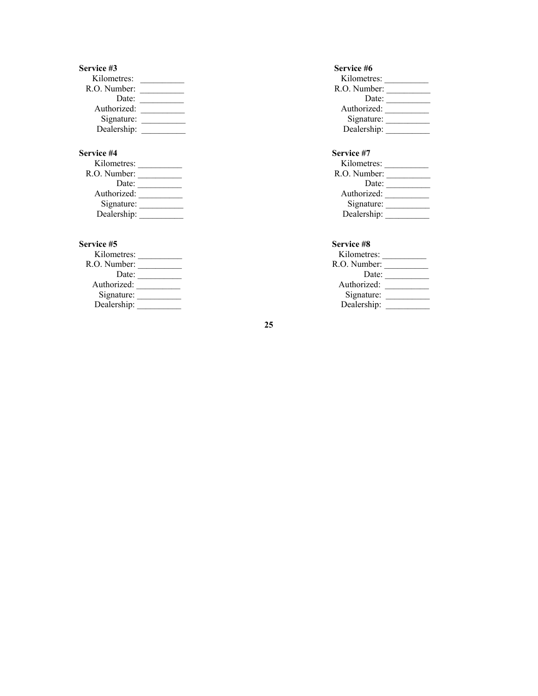| Service #3   | Service #6   |
|--------------|--------------|
| Kilometres:  | Kilometres:  |
| R.O. Number: | R.O. Number: |
| Date:        | Date:        |
| Authorized:  | Authorized:  |
| Signature:   | Signature:   |
| Dealership:  | Dealership:  |

## Service #4

| Kilometres:  | Kilometres:  |
|--------------|--------------|
| R.O. Number: | R.O. Number: |
| Date:        | Date:        |
| Authorized:  | Authorized:  |
| Signature:   | Signature:   |
| Dealership:  | Dealership:  |

| Kilometres:  |  |
|--------------|--|
| R.O. Number: |  |
| Date:        |  |
| Authorized:  |  |
| Signature:   |  |
| Dealership:  |  |
|              |  |

| Kilometres:  |  |
|--------------|--|
| R.O. Number: |  |
| Date:        |  |
| Authorized:  |  |
| Signature:   |  |
| Dealership:  |  |
|              |  |

## Service #7

| Kilometres:  | Kilometres:  |
|--------------|--------------|
| R.O. Number: | R.O. Number: |
| Date:        | Date:        |
| Authorized:  | Authorized:  |
| Signature:   | Signature:   |
| Dealership:  | Dealership:  |

### Service #5 Service #8

| Kilometres:  | Kilometres:  |
|--------------|--------------|
| R.O. Number: | R.O. Number: |
| Date:        | Date:        |
| Authorized:  | Authorized:  |
| Signature:   | Signature:   |
| Dealership:  | Dealership:  |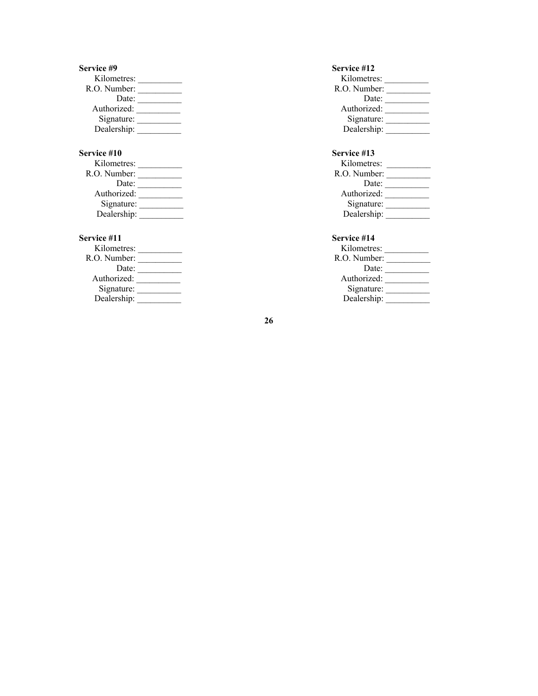| Service #9   | Service #12  |
|--------------|--------------|
| Kilometres:  | Kilometres:  |
| R.O. Number: | R.O. Number: |
| Date:        | Date:        |
| Authorized:  | Authorized:  |
| Signature:   | Signature:   |
| Dealership:  | Dealership:  |

| Kilometres:  | Kilometres:  |
|--------------|--------------|
| R.O. Number: | R.O. Number: |
| Date:        | Date:        |
| Authorized:  | Authorized:  |
| Signature:   | Signature:   |
| Dealership:  | Dealership:  |

| Kilometres:  | Kilometres:  |
|--------------|--------------|
| R.O. Number: | R.O. Number: |
| Date:        | Date:        |
| Authorized:  | Authorized:  |
| Signature:   | Signature:   |
| Dealership:  | Dealership:  |

| Kilometres:  |  |
|--------------|--|
| R.O. Number: |  |
| Date:        |  |
| Authorized:  |  |
| Signature:   |  |
| Dealership:  |  |
|              |  |

# **Service #10** Service #13<br> **Service #13 Service #13**

| K <sub>1</sub> lometres: | K <sub>1</sub> lometres: |
|--------------------------|--------------------------|
| R.O. Number:             | R.O. Number:             |
| Date:                    | Date:                    |
| Authorized:              | Authorized:              |
| Signature:               | Signature:               |
| Dealership:              | Dealership:              |

## **Service #11 Service #14**

| K <sub>1</sub> lometres: | K <sub>1</sub> lometres: |
|--------------------------|--------------------------|
| R.O. Number:             | R.O. Number:             |
| Date:                    | Date:                    |
| Authorized:              | Authorized:              |
| Signature:               | Signature:               |
| Dealership:              | Dealership:              |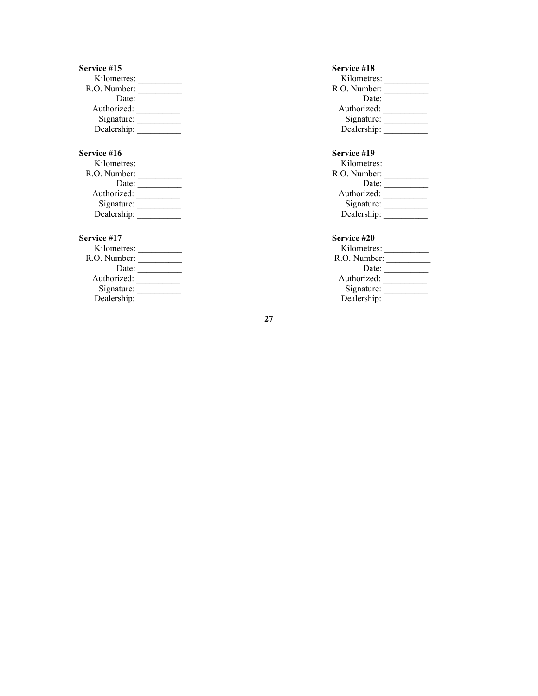| Service #15  | Service #18  |
|--------------|--------------|
| Kilometres:  | Kilometres:  |
| R.O. Number: | R.O. Number: |
| Date:        | Date:        |
| Authorized:  | Authorized:  |
| Signature:   | Signature:   |
| Dealership:  | Dealership:  |

## **Service #16** Service #19

| Kilometres:  | Kilometres:  |
|--------------|--------------|
| R.O. Number: | R.O. Number: |
| Date:        | Date:        |
| Authorized:  | Authorized:  |
| Signature:   | Signature:   |
| Dealership:  | Dealership:  |

| Kilometres:  | Kilometres:  |
|--------------|--------------|
| R.O. Number: | R.O. Number: |
| Date:        | Date:        |
| Authorized:  | Authorized:  |
| Signature:   | Signature:   |
| Dealership:  | Dealership:  |

| Kilometres:  |  |
|--------------|--|
| R.O. Number: |  |
| Date:        |  |
| Authorized:  |  |
| Signature:   |  |
| Dealership:  |  |
|              |  |

| Kilometres:  | Kilometres:  |
|--------------|--------------|
| R.O. Number: | R.O. Number: |
| Date:        | Date:        |
| Authorized:  | Authorized:  |
| Signature:   | Signature:   |
| Dealership:  | Dealership:  |

## **Service #17** Service #20

| K <sub>1</sub> lometres: | K <sub>1</sub> lometres: |
|--------------------------|--------------------------|
| R.O. Number:             | R.O. Number:             |
| Date:                    | Date:                    |
| Authorized:              | Authorized:              |
| Signature:               | Signature:               |
| Dealership:              | Dealership:              |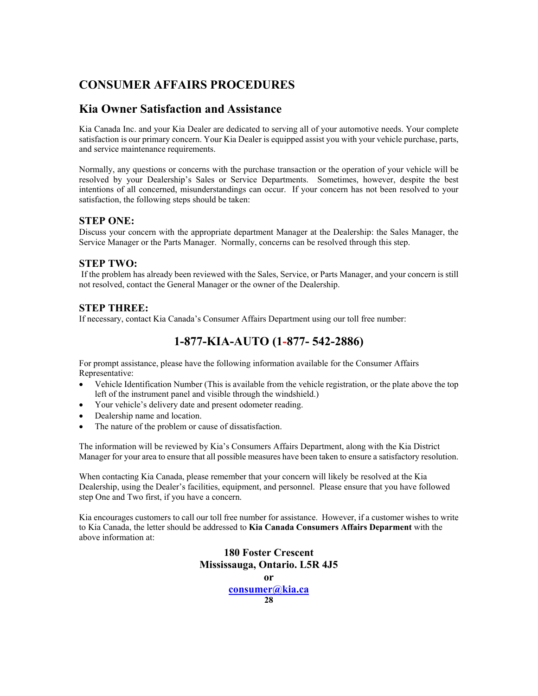## **CONSUMER AFFAIRS PROCEDURES**

## **Kia Owner Satisfaction and Assistance**

Kia Canada Inc. and your Kia Dealer are dedicated to serving all of your automotive needs. Your complete satisfaction is our primary concern. Your Kia Dealer is equipped assist you with your vehicle purchase, parts, and service maintenance requirements.

Normally, any questions or concerns with the purchase transaction or the operation of your vehicle will be resolved by your Dealership's Sales or Service Departments. Sometimes, however, despite the best intentions of all concerned, misunderstandings can occur. If your concern has not been resolved to your satisfaction, the following steps should be taken:

## **STEP ONE:**

Discuss your concern with the appropriate department Manager at the Dealership: the Sales Manager, the Service Manager or the Parts Manager. Normally, concerns can be resolved through this step.

## **STEP TWO:**

 If the problem has already been reviewed with the Sales, Service, or Parts Manager, and your concern is still not resolved, contact the General Manager or the owner of the Dealership.

## **STEP THREE:**

If necessary, contact Kia Canada's Consumer Affairs Department using our toll free number:

## **1-877-KIA-AUTO (1-877- 542-2886)**

For prompt assistance, please have the following information available for the Consumer Affairs Representative:

- Vehicle Identification Number (This is available from the vehicle registration, or the plate above the top left of the instrument panel and visible through the windshield.)
- Your vehicle's delivery date and present odometer reading.
- Dealership name and location.
- The nature of the problem or cause of dissatisfaction.

The information will be reviewed by Kia's Consumers Affairs Department, along with the Kia District Manager for your area to ensure that all possible measures have been taken to ensure a satisfactory resolution.

When contacting Kia Canada, please remember that your concern will likely be resolved at the Kia Dealership, using the Dealer's facilities, equipment, and personnel. Please ensure that you have followed step One and Two first, if you have a concern.

Kia encourages customers to call our toll free number for assistance. However, if a customer wishes to write to Kia Canada, the letter should be addressed to **Kia Canada Consumers Affairs Deparment** with the above information at:

> **180 Foster Crescent Mississauga, Ontario. L5R 4J5 or consumer@kia.ca 28**